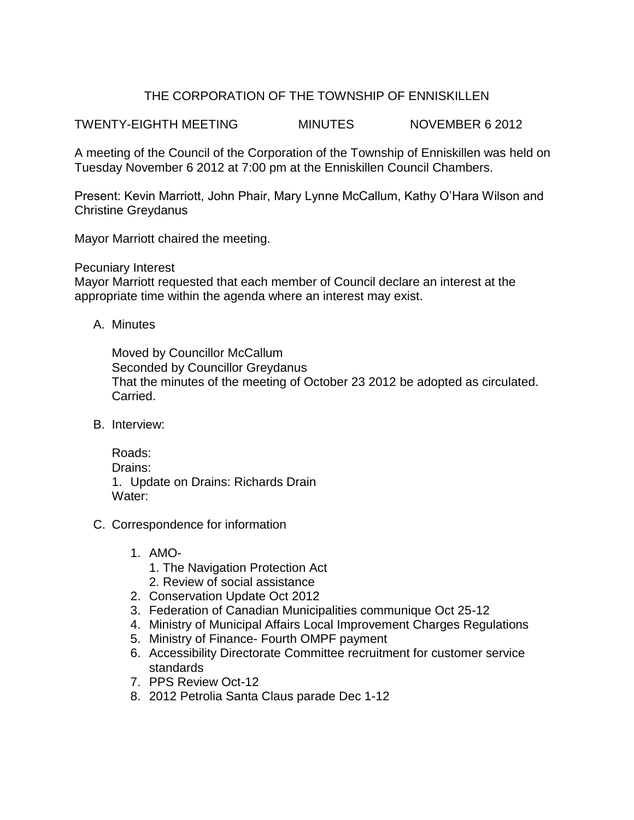## THE CORPORATION OF THE TOWNSHIP OF ENNISKILLEN

TWENTY-EIGHTH MEETING MINUTES NOVEMBER 6 2012

A meeting of the Council of the Corporation of the Township of Enniskillen was held on Tuesday November 6 2012 at 7:00 pm at the Enniskillen Council Chambers.

Present: Kevin Marriott, John Phair, Mary Lynne McCallum, Kathy O'Hara Wilson and Christine Greydanus

Mayor Marriott chaired the meeting.

Pecuniary Interest

Mayor Marriott requested that each member of Council declare an interest at the appropriate time within the agenda where an interest may exist.

A. Minutes

Moved by Councillor McCallum Seconded by Councillor Greydanus That the minutes of the meeting of October 23 2012 be adopted as circulated. Carried.

B. Interview:

Roads: Drains: 1. Update on Drains: Richards Drain Water:

- C. Correspondence for information
	- 1. AMO-
		- 1. The Navigation Protection Act
		- 2. Review of social assistance
	- 2. Conservation Update Oct 2012
	- 3. Federation of Canadian Municipalities communique Oct 25-12
	- 4. Ministry of Municipal Affairs Local Improvement Charges Regulations
	- 5. Ministry of Finance- Fourth OMPF payment
	- 6. Accessibility Directorate Committee recruitment for customer service standards
	- 7. PPS Review Oct-12
	- 8. 2012 Petrolia Santa Claus parade Dec 1-12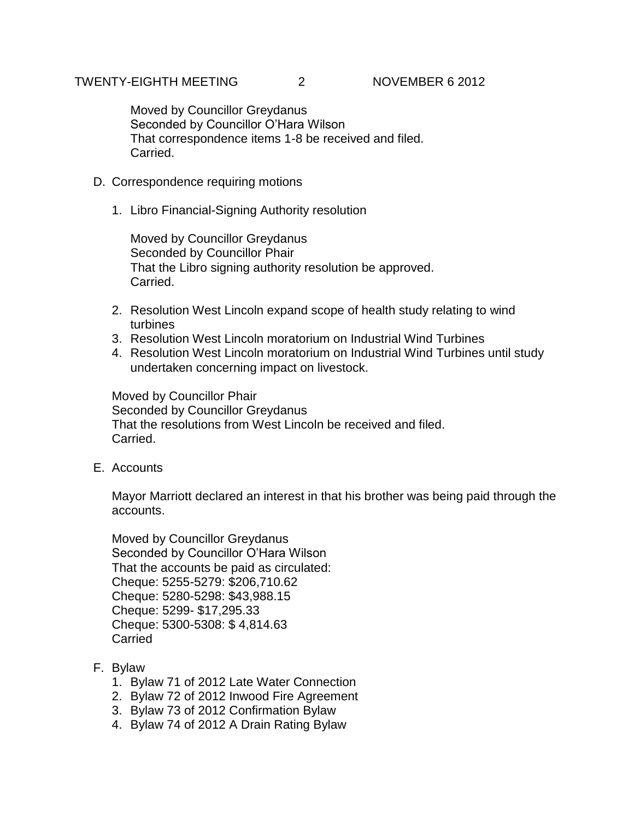Moved by Councillor Greydanus Seconded by Councillor O'Hara Wilson That correspondence items 1-8 be received and filed. Carried.

- D. Correspondence requiring motions
	- 1. Libro Financial-Signing Authority resolution

Moved by Councillor Greydanus Seconded by Councillor Phair That the Libro signing authority resolution be approved. Carried.

- 2. Resolution West Lincoln expand scope of health study relating to wind turbines
- 3. Resolution West Lincoln moratorium on Industrial Wind Turbines
- 4. Resolution West Lincoln moratorium on Industrial Wind Turbines until study undertaken concerning impact on livestock.

Moved by Councillor Phair Seconded by Councillor Greydanus That the resolutions from West Lincoln be received and filed. Carried.

E. Accounts

Mayor Marriott declared an interest in that his brother was being paid through the accounts.

Moved by Councillor Greydanus Seconded by Councillor O'Hara Wilson That the accounts be paid as circulated: Cheque: 5255-5279: \$206,710.62 Cheque: 5280-5298: \$43,988.15 Cheque: 5299- \$17,295.33 Cheque: 5300-5308: \$ 4,814.63 Carried

- F. Bylaw
	- 1. Bylaw 71 of 2012 Late Water Connection
	- 2. Bylaw 72 of 2012 Inwood Fire Agreement
	- 3. Bylaw 73 of 2012 Confirmation Bylaw
	- 4. Bylaw 74 of 2012 A Drain Rating Bylaw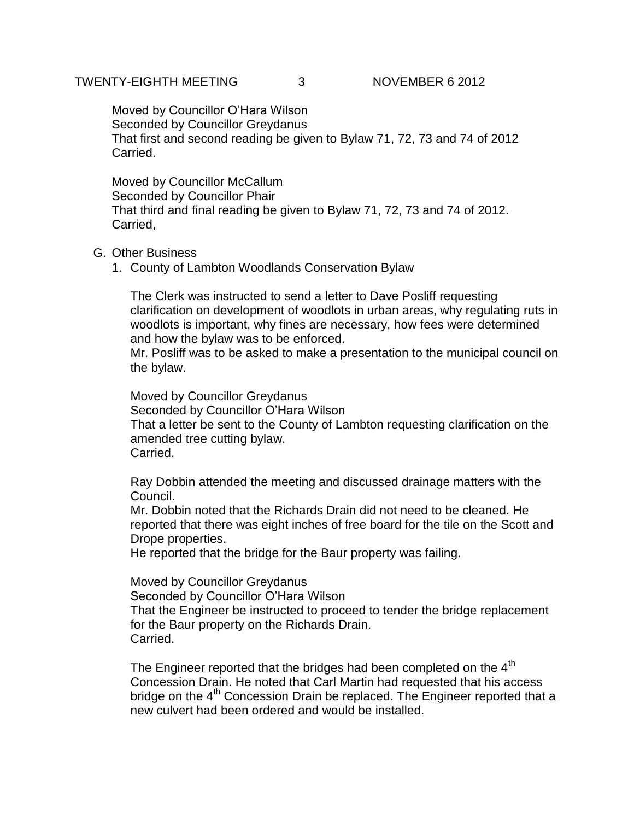## TWENTY-EIGHTH MEETING 3 NOVEMBER 6 2012

Moved by Councillor O'Hara Wilson Seconded by Councillor Greydanus That first and second reading be given to Bylaw 71, 72, 73 and 74 of 2012 Carried.

Moved by Councillor McCallum Seconded by Councillor Phair That third and final reading be given to Bylaw 71, 72, 73 and 74 of 2012. Carried,

## G. Other Business

1. County of Lambton Woodlands Conservation Bylaw

The Clerk was instructed to send a letter to Dave Posliff requesting clarification on development of woodlots in urban areas, why regulating ruts in woodlots is important, why fines are necessary, how fees were determined and how the bylaw was to be enforced.

Mr. Posliff was to be asked to make a presentation to the municipal council on the bylaw.

Moved by Councillor Greydanus Seconded by Councillor O'Hara Wilson That a letter be sent to the County of Lambton requesting clarification on the amended tree cutting bylaw. Carried.

Ray Dobbin attended the meeting and discussed drainage matters with the Council.

Mr. Dobbin noted that the Richards Drain did not need to be cleaned. He reported that there was eight inches of free board for the tile on the Scott and Drope properties.

He reported that the bridge for the Baur property was failing.

Moved by Councillor Greydanus

Seconded by Councillor O'Hara Wilson

That the Engineer be instructed to proceed to tender the bridge replacement for the Baur property on the Richards Drain. Carried.

The Engineer reported that the bridges had been completed on the  $4<sup>th</sup>$ Concession Drain. He noted that Carl Martin had requested that his access bridge on the  $4<sup>th</sup>$  Concession Drain be replaced. The Engineer reported that a new culvert had been ordered and would be installed.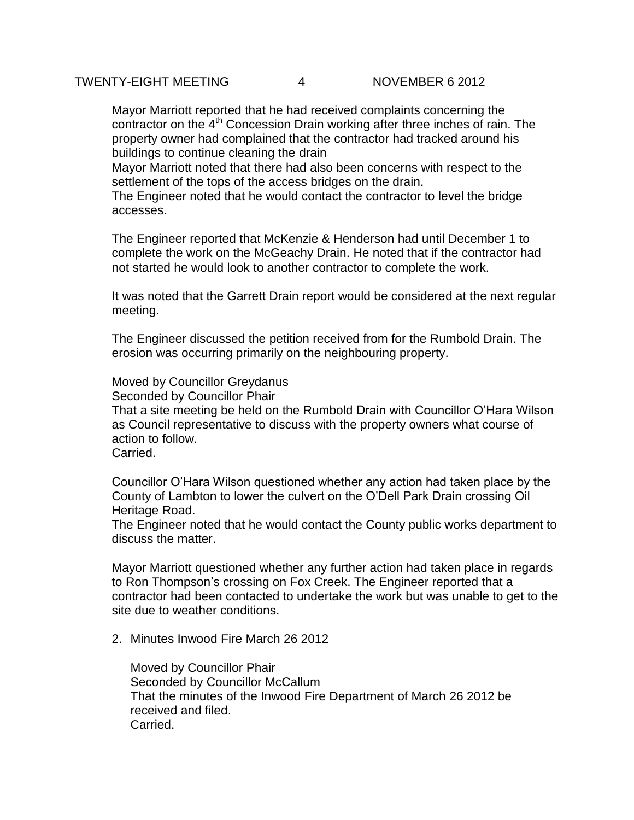Mayor Marriott reported that he had received complaints concerning the contractor on the  $4<sup>th</sup>$  Concession Drain working after three inches of rain. The property owner had complained that the contractor had tracked around his buildings to continue cleaning the drain

Mayor Marriott noted that there had also been concerns with respect to the settlement of the tops of the access bridges on the drain.

The Engineer noted that he would contact the contractor to level the bridge accesses.

The Engineer reported that McKenzie & Henderson had until December 1 to complete the work on the McGeachy Drain. He noted that if the contractor had not started he would look to another contractor to complete the work.

It was noted that the Garrett Drain report would be considered at the next regular meeting.

The Engineer discussed the petition received from for the Rumbold Drain. The erosion was occurring primarily on the neighbouring property.

Moved by Councillor Greydanus

Seconded by Councillor Phair

That a site meeting be held on the Rumbold Drain with Councillor O'Hara Wilson as Council representative to discuss with the property owners what course of action to follow.

Carried.

Councillor O'Hara Wilson questioned whether any action had taken place by the County of Lambton to lower the culvert on the O'Dell Park Drain crossing Oil Heritage Road.

The Engineer noted that he would contact the County public works department to discuss the matter.

Mayor Marriott questioned whether any further action had taken place in regards to Ron Thompson's crossing on Fox Creek. The Engineer reported that a contractor had been contacted to undertake the work but was unable to get to the site due to weather conditions.

2. Minutes Inwood Fire March 26 2012

Moved by Councillor Phair Seconded by Councillor McCallum That the minutes of the Inwood Fire Department of March 26 2012 be received and filed. Carried.